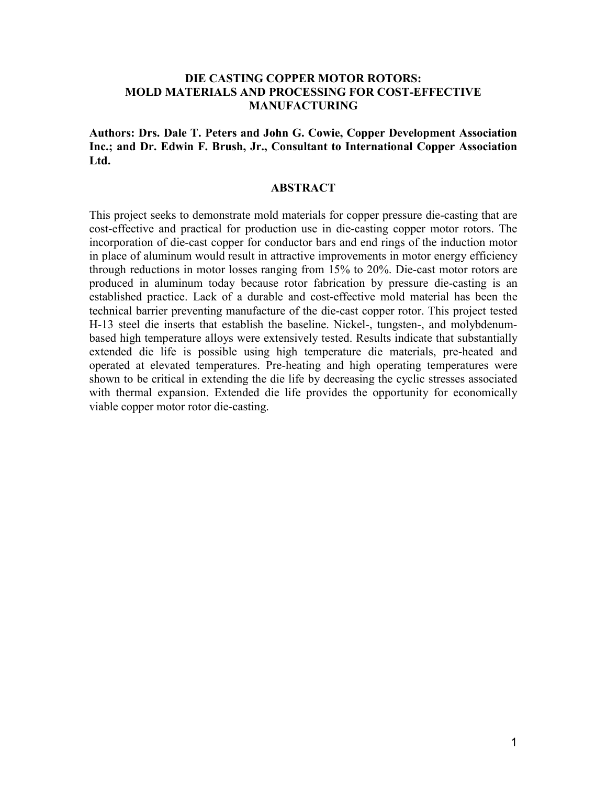### **DIE CASTING COPPER MOTOR ROTORS: MOLD MATERIALS AND PROCESSING FOR COST-EFFECTIVE MANUFACTURING**

**Authors: Drs. Dale T. Peters and John G. Cowie, Copper Development Association Inc.; and Dr. Edwin F. Brush, Jr., Consultant to International Copper Association Ltd.** 

# **ABSTRACT**

This project seeks to demonstrate mold materials for copper pressure die-casting that are cost-effective and practical for production use in die-casting copper motor rotors. The incorporation of die-cast copper for conductor bars and end rings of the induction motor in place of aluminum would result in attractive improvements in motor energy efficiency through reductions in motor losses ranging from 15% to 20%. Die-cast motor rotors are produced in aluminum today because rotor fabrication by pressure die-casting is an established practice. Lack of a durable and cost-effective mold material has been the technical barrier preventing manufacture of the die-cast copper rotor. This project tested H-13 steel die inserts that establish the baseline. Nickel-, tungsten-, and molybdenumbased high temperature alloys were extensively tested. Results indicate that substantially extended die life is possible using high temperature die materials, pre-heated and operated at elevated temperatures. Pre-heating and high operating temperatures were shown to be critical in extending the die life by decreasing the cyclic stresses associated with thermal expansion. Extended die life provides the opportunity for economically viable copper motor rotor die-casting.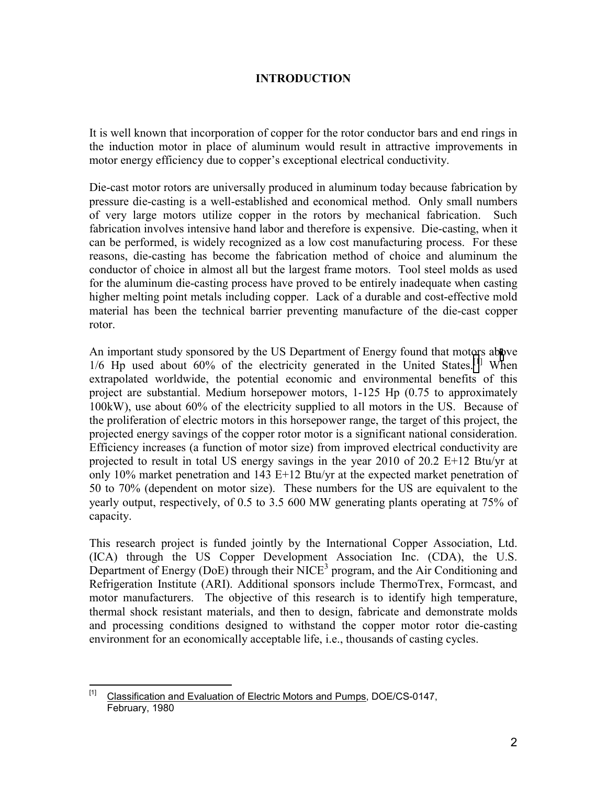# **INTRODUCTION**

It is well known that incorporation of copper for the rotor conductor bars and end rings in the induction motor in place of aluminum would result in attractive improvements in motor energy efficiency due to copper's exceptional electrical conductivity.

Die-cast motor rotors are universally produced in aluminum today because fabrication by pressure die-casting is a well-established and economical method. Only small numbers of very large motors utilize copper in the rotors by mechanical fabrication. Such fabrication involves intensive hand labor and therefore is expensive. Die-casting, when it can be performed, is widely recognized as a low cost manufacturing process. For these reasons, die-casting has become the fabrication method of choice and aluminum the conductor of choice in almost all but the largest frame motors. Tool steel molds as used for the aluminum die-casting process have proved to be entirely inadequate when casting higher melting point metals including copper. Lack of a durable and cost-effective mold material has been the technical barrier preventing manufacture of the die-cast copper rotor.

An important study sponsored by the US Department of Energy found that motors above  $1/6$  Hp used about  $60\%$  of the electricity generated in the United States.<sup>[1]</sup> When extrapolated worldwide, the potential economic and environmental benefits of this project are substantial. Medium horsepower motors, 1-125 Hp (0.75 to approximately 100kW), use about 60% of the electricity supplied to all motors in the US. Because of the proliferation of electric motors in this horsepower range, the target of this project, the projected energy savings of the copper rotor motor is a significant national consideration. Efficiency increases (a function of motor size) from improved electrical conductivity are projected to result in total US energy savings in the year 2010 of 20.2 E+12 Btu/yr at only 10% market penetration and 143 E+12 Btu/yr at the expected market penetration of 50 to 70% (dependent on motor size). These numbers for the US are equivalent to the yearly output, respectively, of 0.5 to 3.5 600 MW generating plants operating at 75% of capacity.

This research project is funded jointly by the International Copper Association, Ltd. (ICA) through the US Copper Development Association Inc. (CDA), the U.S. Department of Energy (DoE) through their  $NICE<sup>3</sup>$  program, and the Air Conditioning and Refrigeration Institute (ARI). Additional sponsors include ThermoTrex, Formcast, and motor manufacturers. The objective of this research is to identify high temperature, thermal shock resistant materials, and then to design, fabricate and demonstrate molds and processing conditions designed to withstand the copper motor rotor die-casting environment for an economically acceptable life, i.e., thousands of casting cycles.

 $[1]$ Classification and Evaluation of Electric Motors and Pumps, DOE/CS-0147, February, 1980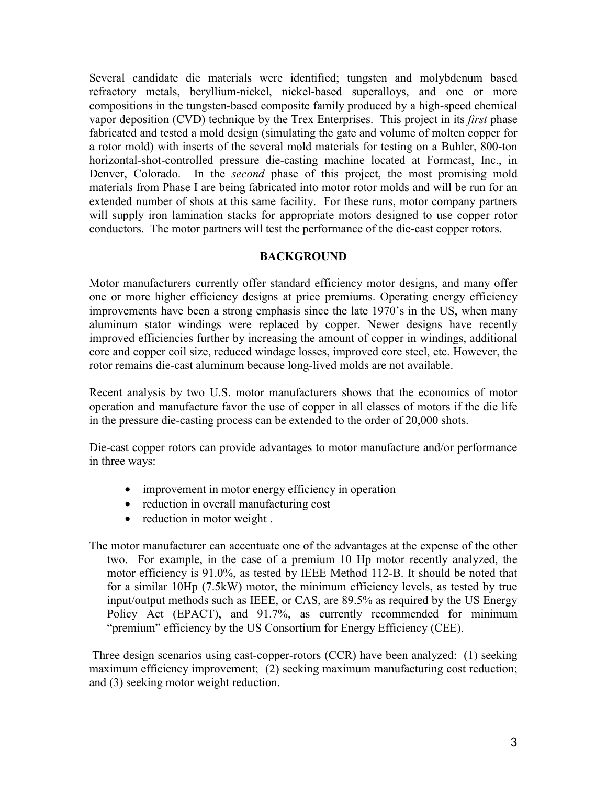Several candidate die materials were identified; tungsten and molybdenum based refractory metals, beryllium-nickel, nickel-based superalloys, and one or more compositions in the tungsten-based composite family produced by a high-speed chemical vapor deposition (CVD) technique by the Trex Enterprises. This project in its *first* phase fabricated and tested a mold design (simulating the gate and volume of molten copper for a rotor mold) with inserts of the several mold materials for testing on a Buhler, 800-ton horizontal-shot-controlled pressure die-casting machine located at Formcast, Inc., in Denver, Colorado. In the *second* phase of this project, the most promising mold materials from Phase I are being fabricated into motor rotor molds and will be run for an extended number of shots at this same facility. For these runs, motor company partners will supply iron lamination stacks for appropriate motors designed to use copper rotor conductors. The motor partners will test the performance of the die-cast copper rotors.

# **BACKGROUND**

Motor manufacturers currently offer standard efficiency motor designs, and many offer one or more higher efficiency designs at price premiums. Operating energy efficiency improvements have been a strong emphasis since the late 1970's in the US, when many aluminum stator windings were replaced by copper. Newer designs have recently improved efficiencies further by increasing the amount of copper in windings, additional core and copper coil size, reduced windage losses, improved core steel, etc. However, the rotor remains die-cast aluminum because long-lived molds are not available.

Recent analysis by two U.S. motor manufacturers shows that the economics of motor operation and manufacture favor the use of copper in all classes of motors if the die life in the pressure die-casting process can be extended to the order of 20,000 shots.

Die-cast copper rotors can provide advantages to motor manufacture and/or performance in three ways:

- improvement in motor energy efficiency in operation
- reduction in overall manufacturing cost
- reduction in motor weight.

The motor manufacturer can accentuate one of the advantages at the expense of the other two. For example, in the case of a premium 10 Hp motor recently analyzed, the motor efficiency is 91.0%, as tested by IEEE Method 112-B. It should be noted that for a similar 10Hp (7.5kW) motor, the minimum efficiency levels, as tested by true input/output methods such as IEEE, or CAS, are 89.5% as required by the US Energy Policy Act (EPACT), and 91.7%, as currently recommended for minimum "premium" efficiency by the US Consortium for Energy Efficiency (CEE).

 Three design scenarios using cast-copper-rotors (CCR) have been analyzed: (1) seeking maximum efficiency improvement; (2) seeking maximum manufacturing cost reduction; and (3) seeking motor weight reduction.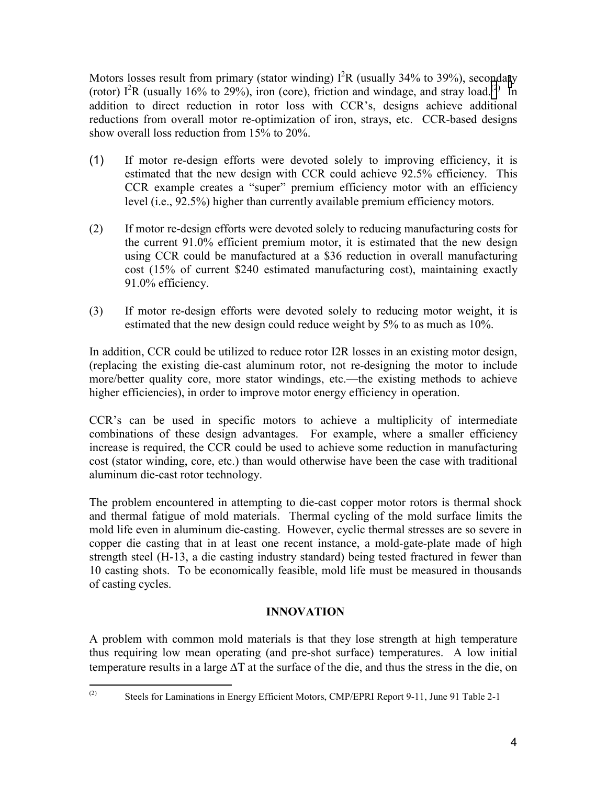Motors losses result from primary (stator winding)  $I^2R$  (usually 34% to 39%), secondary (rotor)  $I^2R$  (usually 16% to 29%), iron (core), friction and windage, and stray load.<sup>(2)</sup> In addition to direct reduction in rotor loss with CCR's, designs achieve additional reductions from overall motor re-optimization of iron, strays, etc. CCR-based designs show overall loss reduction from 15% to 20%.

- (1) If motor re-design efforts were devoted solely to improving efficiency, it is estimated that the new design with CCR could achieve 92.5% efficiency. This CCR example creates a "super" premium efficiency motor with an efficiency level (i.e., 92.5%) higher than currently available premium efficiency motors.
- (2) If motor re-design efforts were devoted solely to reducing manufacturing costs for the current 91.0% efficient premium motor, it is estimated that the new design using CCR could be manufactured at a \$36 reduction in overall manufacturing cost (15% of current \$240 estimated manufacturing cost), maintaining exactly 91.0% efficiency.
- (3) If motor re-design efforts were devoted solely to reducing motor weight, it is estimated that the new design could reduce weight by 5% to as much as 10%.

In addition, CCR could be utilized to reduce rotor I2R losses in an existing motor design, (replacing the existing die-cast aluminum rotor, not re-designing the motor to include more/better quality core, more stator windings, etc.—the existing methods to achieve higher efficiencies), in order to improve motor energy efficiency in operation.

CCR's can be used in specific motors to achieve a multiplicity of intermediate combinations of these design advantages. For example, where a smaller efficiency increase is required, the CCR could be used to achieve some reduction in manufacturing cost (stator winding, core, etc.) than would otherwise have been the case with traditional aluminum die-cast rotor technology.

The problem encountered in attempting to die-cast copper motor rotors is thermal shock and thermal fatigue of mold materials. Thermal cycling of the mold surface limits the mold life even in aluminum die-casting. However, cyclic thermal stresses are so severe in copper die casting that in at least one recent instance, a mold-gate-plate made of high strength steel (H-13, a die casting industry standard) being tested fractured in fewer than 10 casting shots. To be economically feasible, mold life must be measured in thousands of casting cycles.

# **INNOVATION**

A problem with common mold materials is that they lose strength at high temperature thus requiring low mean operating (and pre-shot surface) temperatures. A low initial temperature results in a large  $\Delta T$  at the surface of the die, and thus the stress in the die, on

 $(2)$ 

<sup>(2)</sup> Steels for Laminations in Energy Efficient Motors, CMP/EPRI Report 9-11, June 91 Table 2-1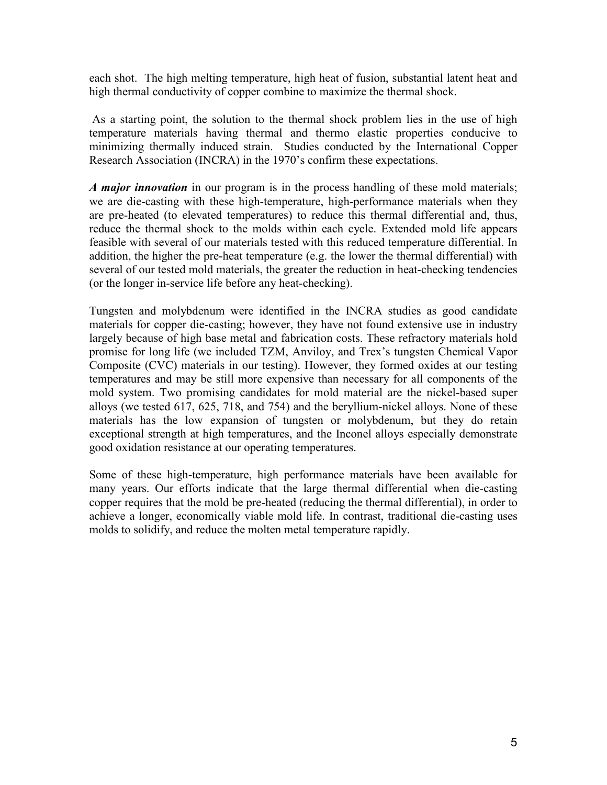each shot. The high melting temperature, high heat of fusion, substantial latent heat and high thermal conductivity of copper combine to maximize the thermal shock.

 As a starting point, the solution to the thermal shock problem lies in the use of high temperature materials having thermal and thermo elastic properties conducive to minimizing thermally induced strain. Studies conducted by the International Copper Research Association (INCRA) in the 1970's confirm these expectations.

*A major innovation* in our program is in the process handling of these mold materials; we are die-casting with these high-temperature, high-performance materials when they are pre-heated (to elevated temperatures) to reduce this thermal differential and, thus, reduce the thermal shock to the molds within each cycle. Extended mold life appears feasible with several of our materials tested with this reduced temperature differential. In addition, the higher the pre-heat temperature (e.g. the lower the thermal differential) with several of our tested mold materials, the greater the reduction in heat-checking tendencies (or the longer in-service life before any heat-checking).

Tungsten and molybdenum were identified in the INCRA studies as good candidate materials for copper die-casting; however, they have not found extensive use in industry largely because of high base metal and fabrication costs. These refractory materials hold promise for long life (we included TZM, Anviloy, and Trex's tungsten Chemical Vapor Composite (CVC) materials in our testing). However, they formed oxides at our testing temperatures and may be still more expensive than necessary for all components of the mold system. Two promising candidates for mold material are the nickel-based super alloys (we tested 617, 625, 718, and 754) and the beryllium-nickel alloys. None of these materials has the low expansion of tungsten or molybdenum, but they do retain exceptional strength at high temperatures, and the Inconel alloys especially demonstrate good oxidation resistance at our operating temperatures.

Some of these high-temperature, high performance materials have been available for many years. Our efforts indicate that the large thermal differential when die-casting copper requires that the mold be pre-heated (reducing the thermal differential), in order to achieve a longer, economically viable mold life. In contrast, traditional die-casting uses molds to solidify, and reduce the molten metal temperature rapidly.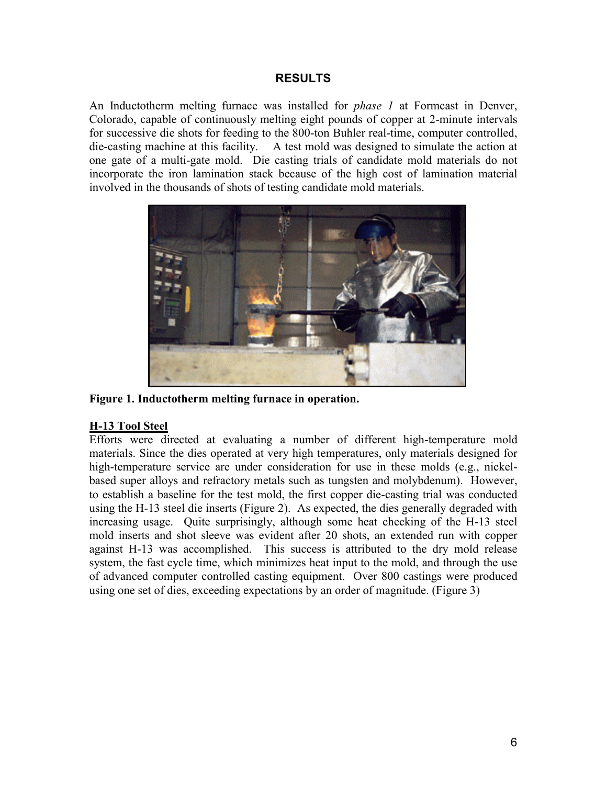### **RESULTS**

An Inductotherm melting furnace was installed for *phase 1* at Formcast in Denver, Colorado, capable of continuously melting eight pounds of copper at 2-minute intervals for successive die shots for feeding to the 800-ton Buhler real-time, computer controlled, die-casting machine at this facility. A test mold was designed to simulate the action at one gate of a multi-gate mold. Die casting trials of candidate mold materials do not incorporate the iron lamination stack because of the high cost of lamination material involved in the thousands of shots of testing candidate mold materials.



**Figure 1. Inductotherm melting furnace in operation.** 

### **H-13 Tool Steel**

Efforts were directed at evaluating a number of different high-temperature mold materials. Since the dies operated at very high temperatures, only materials designed for high-temperature service are under consideration for use in these molds (e.g., nickelbased super alloys and refractory metals such as tungsten and molybdenum). However, to establish a baseline for the test mold, the first copper die-casting trial was conducted using the H-13 steel die inserts (Figure 2). As expected, the dies generally degraded with increasing usage. Quite surprisingly, although some heat checking of the H-13 steel mold inserts and shot sleeve was evident after 20 shots, an extended run with copper against H-13 was accomplished. This success is attributed to the dry mold release system, the fast cycle time, which minimizes heat input to the mold, and through the use of advanced computer controlled casting equipment. Over 800 castings were produced using one set of dies, exceeding expectations by an order of magnitude. (Figure 3)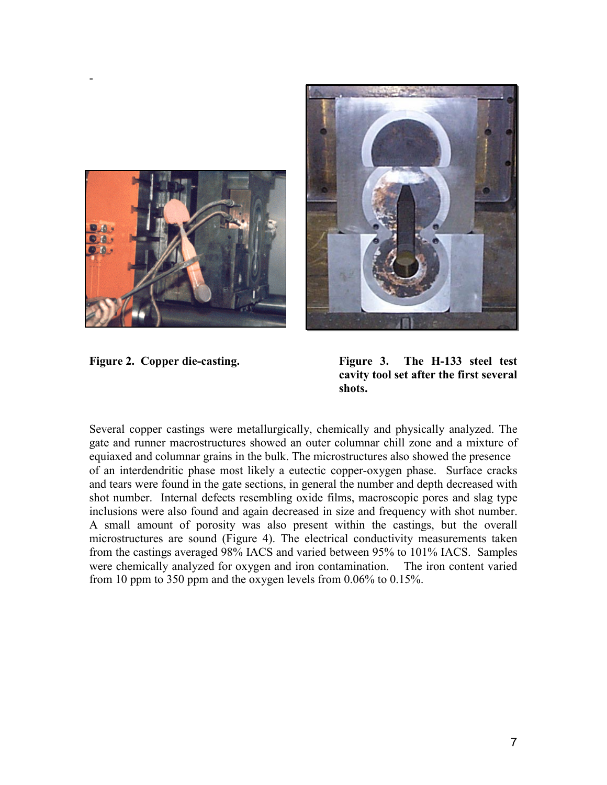

-





Several copper castings were metallurgically, chemically and physically analyzed. The gate and runner macrostructures showed an outer columnar chill zone and a mixture of equiaxed and columnar grains in the bulk. The microstructures also showed the presence of an interdendritic phase most likely a eutectic copper-oxygen phase. Surface cracks and tears were found in the gate sections, in general the number and depth decreased with shot number. Internal defects resembling oxide films, macroscopic pores and slag type inclusions were also found and again decreased in size and frequency with shot number. A small amount of porosity was also present within the castings, but the overall microstructures are sound (Figure 4). The electrical conductivity measurements taken from the castings averaged 98% IACS and varied between 95% to 101% IACS. Samples were chemically analyzed for oxygen and iron contamination. The iron content varied from 10 ppm to 350 ppm and the oxygen levels from 0.06% to 0.15%.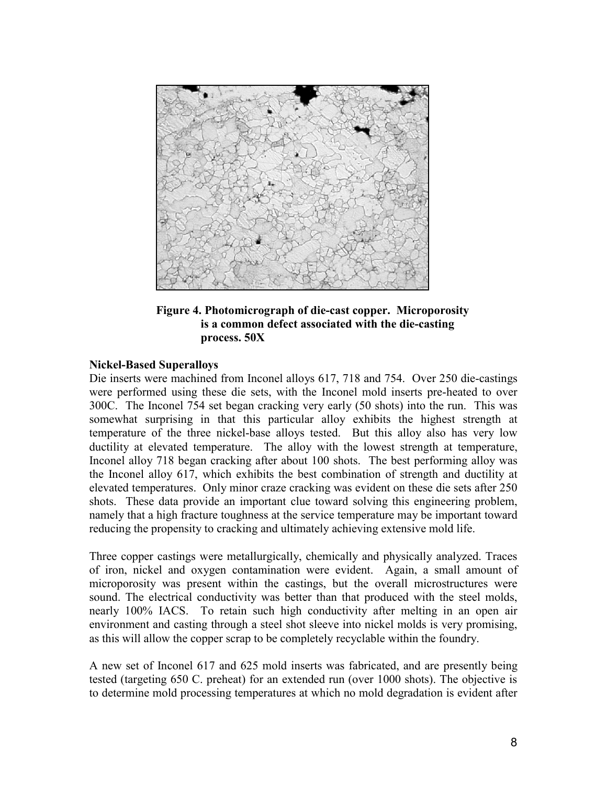

**Figure 4. Photomicrograph of die-cast copper. Microporosity is a common defect associated with the die-casting process. 50X**

# **Nickel-Based Superalloys**

Die inserts were machined from Inconel alloys 617, 718 and 754. Over 250 die-castings were performed using these die sets, with the Inconel mold inserts pre-heated to over 300C. The Inconel 754 set began cracking very early (50 shots) into the run. This was somewhat surprising in that this particular alloy exhibits the highest strength at temperature of the three nickel-base alloys tested. But this alloy also has very low ductility at elevated temperature. The alloy with the lowest strength at temperature, Inconel alloy 718 began cracking after about 100 shots. The best performing alloy was the Inconel alloy 617, which exhibits the best combination of strength and ductility at elevated temperatures. Only minor craze cracking was evident on these die sets after 250 shots. These data provide an important clue toward solving this engineering problem, namely that a high fracture toughness at the service temperature may be important toward reducing the propensity to cracking and ultimately achieving extensive mold life.

Three copper castings were metallurgically, chemically and physically analyzed. Traces of iron, nickel and oxygen contamination were evident. Again, a small amount of microporosity was present within the castings, but the overall microstructures were sound. The electrical conductivity was better than that produced with the steel molds, nearly 100% IACS. To retain such high conductivity after melting in an open air environment and casting through a steel shot sleeve into nickel molds is very promising, as this will allow the copper scrap to be completely recyclable within the foundry.

A new set of Inconel 617 and 625 mold inserts was fabricated, and are presently being tested (targeting 650 C. preheat) for an extended run (over 1000 shots). The objective is to determine mold processing temperatures at which no mold degradation is evident after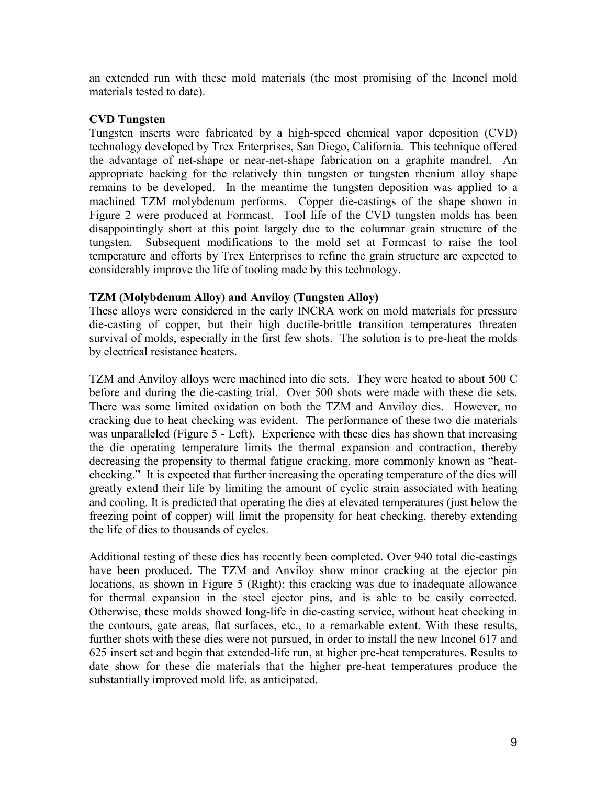an extended run with these mold materials (the most promising of the Inconel mold materials tested to date).

# **CVD Tungsten**

Tungsten inserts were fabricated by a high-speed chemical vapor deposition (CVD) technology developed by Trex Enterprises, San Diego, California. This technique offered the advantage of net-shape or near-net-shape fabrication on a graphite mandrel. An appropriate backing for the relatively thin tungsten or tungsten rhenium alloy shape remains to be developed. In the meantime the tungsten deposition was applied to a machined TZM molybdenum performs. Copper die-castings of the shape shown in Figure 2 were produced at Formcast. Tool life of the CVD tungsten molds has been disappointingly short at this point largely due to the columnar grain structure of the tungsten. Subsequent modifications to the mold set at Formcast to raise the tool temperature and efforts by Trex Enterprises to refine the grain structure are expected to considerably improve the life of tooling made by this technology.

# **TZM (Molybdenum Alloy) and Anviloy (Tungsten Alloy)**

These alloys were considered in the early INCRA work on mold materials for pressure die-casting of copper, but their high ductile-brittle transition temperatures threaten survival of molds, especially in the first few shots. The solution is to pre-heat the molds by electrical resistance heaters.

TZM and Anviloy alloys were machined into die sets. They were heated to about 500 C before and during the die-casting trial. Over 500 shots were made with these die sets. There was some limited oxidation on both the TZM and Anviloy dies. However, no cracking due to heat checking was evident. The performance of these two die materials was unparalleled (Figure 5 - Left). Experience with these dies has shown that increasing the die operating temperature limits the thermal expansion and contraction, thereby decreasing the propensity to thermal fatigue cracking, more commonly known as "heatchecking." It is expected that further increasing the operating temperature of the dies will greatly extend their life by limiting the amount of cyclic strain associated with heating and cooling. It is predicted that operating the dies at elevated temperatures (just below the freezing point of copper) will limit the propensity for heat checking, thereby extending the life of dies to thousands of cycles.

Additional testing of these dies has recently been completed. Over 940 total die-castings have been produced. The TZM and Anviloy show minor cracking at the ejector pin locations, as shown in Figure 5 (Right); this cracking was due to inadequate allowance for thermal expansion in the steel ejector pins, and is able to be easily corrected. Otherwise, these molds showed long-life in die-casting service, without heat checking in the contours, gate areas, flat surfaces, etc., to a remarkable extent. With these results, further shots with these dies were not pursued, in order to install the new Inconel 617 and 625 insert set and begin that extended-life run, at higher pre-heat temperatures. Results to date show for these die materials that the higher pre-heat temperatures produce the substantially improved mold life, as anticipated.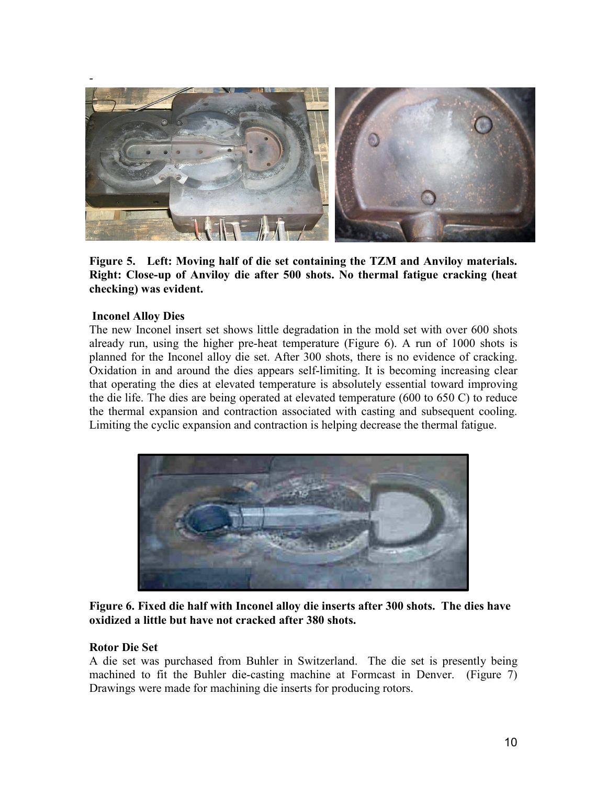

**Figure 5. Left: Moving half of die set containing the TZM and Anviloy materials. Right: Close-up of Anviloy die after 500 shots. No thermal fatigue cracking (heat checking) was evident.** 

### **Inconel Alloy Dies**

The new Inconel insert set shows little degradation in the mold set with over 600 shots already run, using the higher pre-heat temperature (Figure 6). A run of 1000 shots is planned for the Inconel alloy die set. After 300 shots, there is no evidence of cracking. Oxidation in and around the dies appears self-limiting. It is becoming increasing clear that operating the dies at elevated temperature is absolutely essential toward improving the die life. The dies are being operated at elevated temperature (600 to 650 C) to reduce the thermal expansion and contraction associated with casting and subsequent cooling. Limiting the cyclic expansion and contraction is helping decrease the thermal fatigue.



**Figure 6. Fixed die half with Inconel alloy die inserts after 300 shots. The dies have oxidized a little but have not cracked after 380 shots.** 

### **Rotor Die Set**

A die set was purchased from Buhler in Switzerland. The die set is presently being machined to fit the Buhler die-casting machine at Formcast in Denver. (Figure 7) Drawings were made for machining die inserts for producing rotors.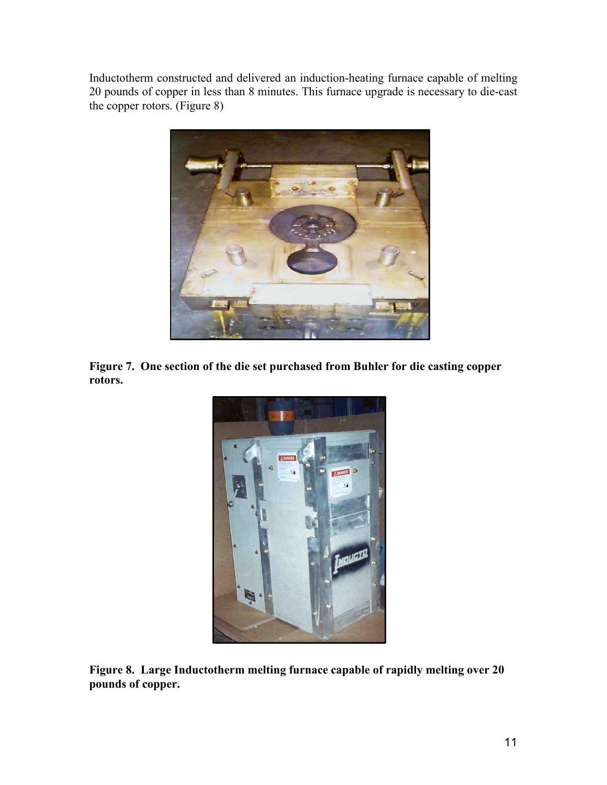Inductotherm constructed and delivered an induction-heating furnace capable of melting 20 pounds of copper in less than 8 minutes. This furnace upgrade is necessary to die-cast the copper rotors. (Figure 8)



**Figure 7. One section of the die set purchased from Buhler for die casting copper rotors.** 



**Figure 8. Large Inductotherm melting furnace capable of rapidly melting over 20 pounds of copper.**